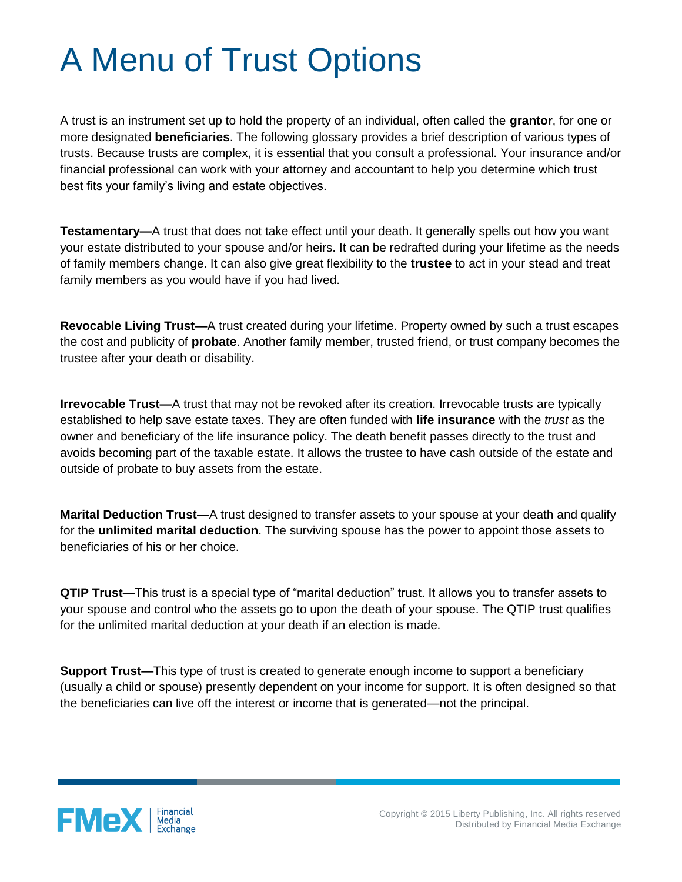## A Menu of Trust Options

A trust is an instrument set up to hold the property of an individual, often called the **grantor**, for one or more designated **beneficiaries**. The following glossary provides a brief description of various types of trusts. Because trusts are complex, it is essential that you consult a professional. Your insurance and/or financial professional can work with your attorney and accountant to help you determine which trust best fits your family's living and estate objectives.

**Testamentary—**A trust that does not take effect until your death. It generally spells out how you want your estate distributed to your spouse and/or heirs. It can be redrafted during your lifetime as the needs of family members change. It can also give great flexibility to the **trustee** to act in your stead and treat family members as you would have if you had lived.

**Revocable Living Trust—**A trust created during your lifetime. Property owned by such a trust escapes the cost and publicity of **probate**. Another family member, trusted friend, or trust company becomes the trustee after your death or disability.

**Irrevocable Trust—**A trust that may not be revoked after its creation. Irrevocable trusts are typically established to help save estate taxes. They are often funded with **life insurance** with the *trust* as the owner and beneficiary of the life insurance policy. The death benefit passes directly to the trust and avoids becoming part of the taxable estate. It allows the trustee to have cash outside of the estate and outside of probate to buy assets from the estate.

**Marital Deduction Trust—**A trust designed to transfer assets to your spouse at your death and qualify for the **unlimited marital deduction**. The surviving spouse has the power to appoint those assets to beneficiaries of his or her choice.

**QTIP Trust—**This trust is a special type of "marital deduction" trust. It allows you to transfer assets to your spouse and control who the assets go to upon the death of your spouse. The QTIP trust qualifies for the unlimited marital deduction at your death if an election is made.

**Support Trust—**This type of trust is created to generate enough income to support a beneficiary (usually a child or spouse) presently dependent on your income for support. It is often designed so that the beneficiaries can live off the interest or income that is generated—not the principal.

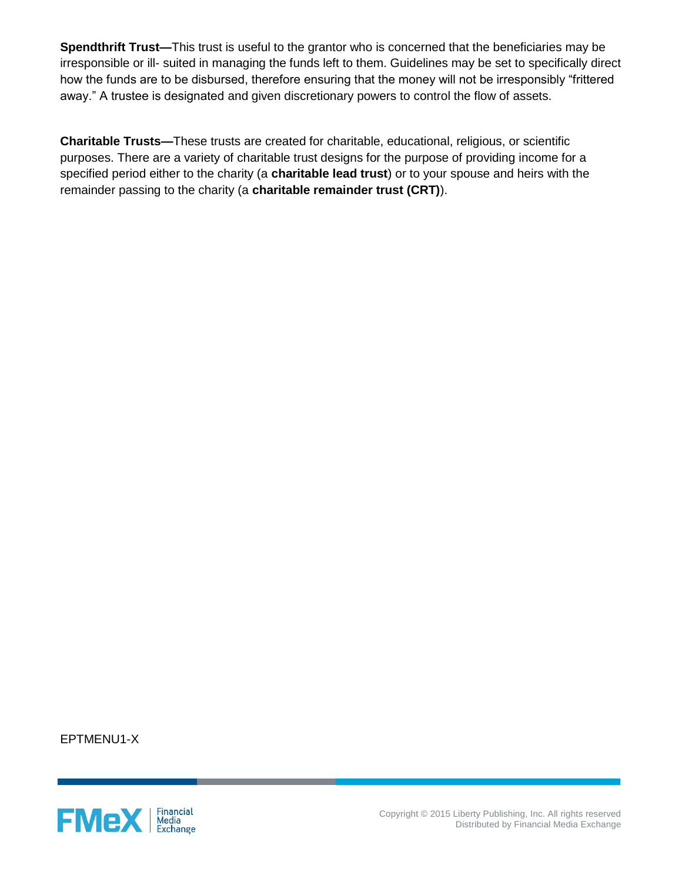**Spendthrift Trust—**This trust is useful to the grantor who is concerned that the beneficiaries may be irresponsible or ill- suited in managing the funds left to them. Guidelines may be set to specifically direct how the funds are to be disbursed, therefore ensuring that the money will not be irresponsibly "frittered away." A trustee is designated and given discretionary powers to control the flow of assets.

**Charitable Trusts—**These trusts are created for charitable, educational, religious, or scientific purposes. There are a variety of charitable trust designs for the purpose of providing income for a specified period either to the charity (a **charitable lead trust**) or to your spouse and heirs with the remainder passing to the charity (a **charitable remainder trust (CRT)**).

EPTMENU1-X